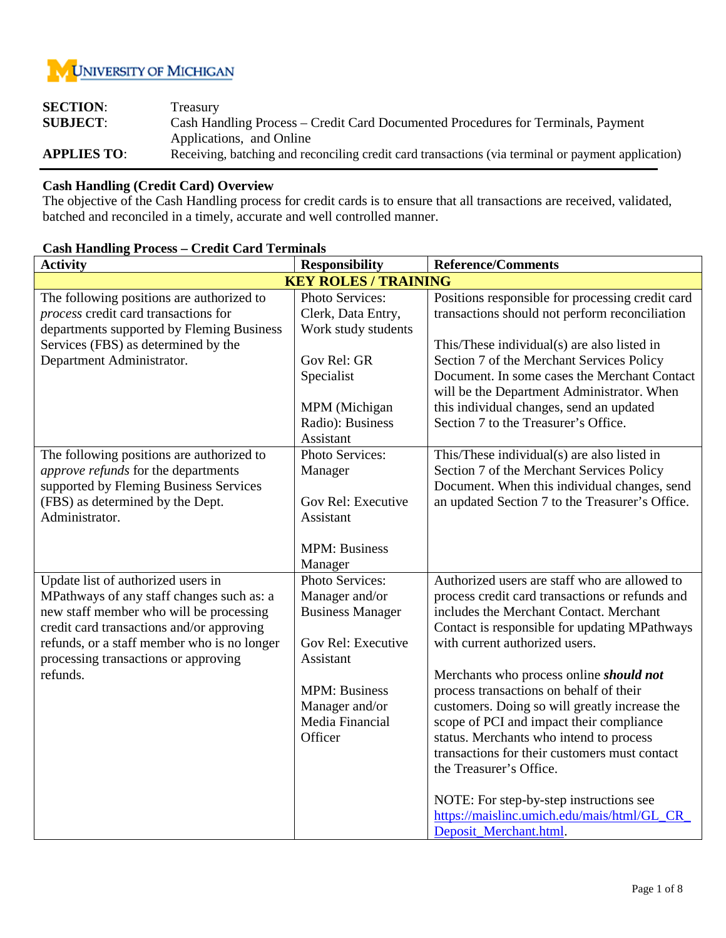

| <b>SECTION:</b>    | Treasury                                                                                           |
|--------------------|----------------------------------------------------------------------------------------------------|
| <b>SUBJECT:</b>    | Cash Handling Process – Credit Card Documented Procedures for Terminals, Payment                   |
|                    | Applications, and Online                                                                           |
| <b>APPLIES TO:</b> | Receiving, batching and reconciling credit card transactions (via terminal or payment application) |

## **Cash Handling (Credit Card) Overview**

The objective of the Cash Handling process for credit cards is to ensure that all transactions are received, validated, batched and reconciled in a timely, accurate and well controlled manner.

| <b>Activity</b><br><b>Responsibility</b>    |                                                                     | <b>Reference/Comments</b>                       |  |  |
|---------------------------------------------|---------------------------------------------------------------------|-------------------------------------------------|--|--|
| <b>KEY ROLES / TRAINING</b>                 |                                                                     |                                                 |  |  |
| The following positions are authorized to   | Photo Services:<br>Positions responsible for processing credit card |                                                 |  |  |
| process credit card transactions for        | Clerk, Data Entry,                                                  | transactions should not perform reconciliation  |  |  |
| departments supported by Fleming Business   | Work study students                                                 |                                                 |  |  |
| Services (FBS) as determined by the         |                                                                     | This/These individual(s) are also listed in     |  |  |
| Department Administrator.                   | Gov Rel: GR                                                         | Section 7 of the Merchant Services Policy       |  |  |
|                                             | Specialist                                                          | Document. In some cases the Merchant Contact    |  |  |
|                                             |                                                                     | will be the Department Administrator. When      |  |  |
|                                             | MPM (Michigan                                                       | this individual changes, send an updated        |  |  |
|                                             | Radio): Business                                                    | Section 7 to the Treasurer's Office.            |  |  |
|                                             | Assistant                                                           |                                                 |  |  |
| The following positions are authorized to   | Photo Services:                                                     | This/These individual(s) are also listed in     |  |  |
| approve refunds for the departments         | Manager                                                             | Section 7 of the Merchant Services Policy       |  |  |
| supported by Fleming Business Services      |                                                                     | Document. When this individual changes, send    |  |  |
| (FBS) as determined by the Dept.            | Gov Rel: Executive                                                  | an updated Section 7 to the Treasurer's Office. |  |  |
| Administrator.                              | Assistant                                                           |                                                 |  |  |
|                                             |                                                                     |                                                 |  |  |
|                                             | <b>MPM: Business</b>                                                |                                                 |  |  |
|                                             | Manager                                                             |                                                 |  |  |
| Update list of authorized users in          | Photo Services:                                                     | Authorized users are staff who are allowed to   |  |  |
| MPathways of any staff changes such as: a   | Manager and/or                                                      | process credit card transactions or refunds and |  |  |
| new staff member who will be processing     | <b>Business Manager</b>                                             | includes the Merchant Contact. Merchant         |  |  |
| credit card transactions and/or approving   |                                                                     | Contact is responsible for updating MPathways   |  |  |
| refunds, or a staff member who is no longer | Gov Rel: Executive                                                  | with current authorized users.                  |  |  |
| processing transactions or approving        | Assistant                                                           |                                                 |  |  |
| refunds.                                    |                                                                     | Merchants who process online should not         |  |  |
|                                             | <b>MPM: Business</b>                                                | process transactions on behalf of their         |  |  |
|                                             | Manager and/or                                                      | customers. Doing so will greatly increase the   |  |  |
|                                             | Media Financial                                                     | scope of PCI and impact their compliance        |  |  |
|                                             | Officer                                                             | status. Merchants who intend to process         |  |  |
|                                             |                                                                     | transactions for their customers must contact   |  |  |
|                                             |                                                                     | the Treasurer's Office.                         |  |  |
|                                             |                                                                     |                                                 |  |  |
|                                             |                                                                     | NOTE: For step-by-step instructions see         |  |  |
|                                             |                                                                     | https://maislinc.umich.edu/mais/html/GL_CR_     |  |  |
|                                             |                                                                     | Deposit_Merchant.html.                          |  |  |

## **Cash Handling Process – Credit Card Terminals**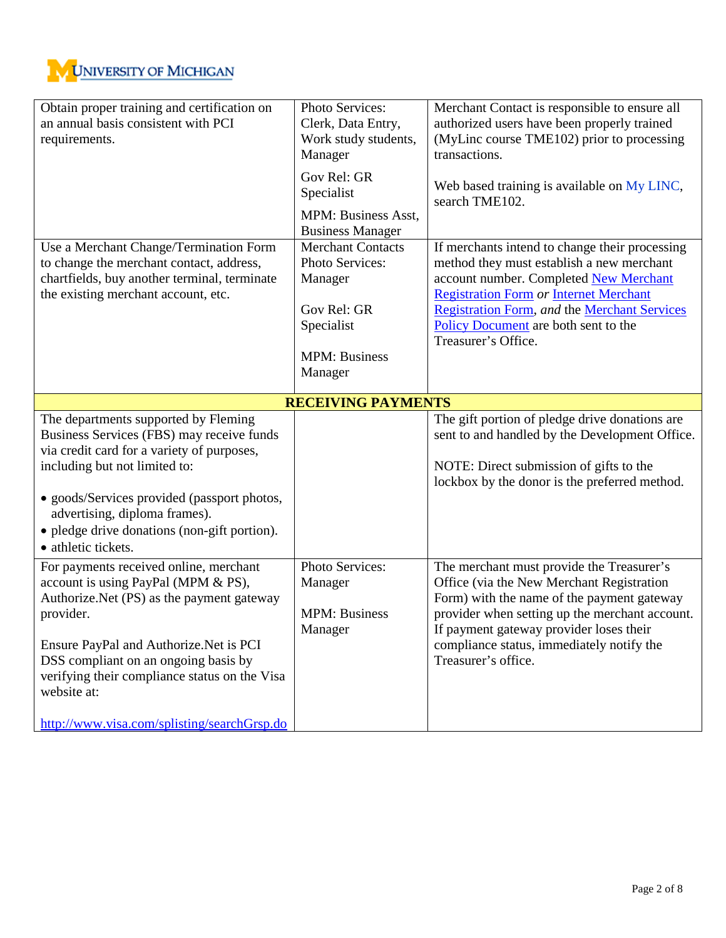

| Obtain proper training and certification on<br>an annual basis consistent with PCI<br>requirements.                                                                                                                                                                                                                                        | Photo Services:<br>Clerk, Data Entry,<br>Work study students,<br>Manager                                               | Merchant Contact is responsible to ensure all<br>authorized users have been properly trained<br>(MyLinc course TME102) prior to processing<br>transactions.                                                                                                                                                  |  |
|--------------------------------------------------------------------------------------------------------------------------------------------------------------------------------------------------------------------------------------------------------------------------------------------------------------------------------------------|------------------------------------------------------------------------------------------------------------------------|--------------------------------------------------------------------------------------------------------------------------------------------------------------------------------------------------------------------------------------------------------------------------------------------------------------|--|
|                                                                                                                                                                                                                                                                                                                                            | Gov Rel: GR<br>Specialist                                                                                              | Web based training is available on My LINC,<br>search TME102.                                                                                                                                                                                                                                                |  |
|                                                                                                                                                                                                                                                                                                                                            | MPM: Business Asst,<br><b>Business Manager</b>                                                                         |                                                                                                                                                                                                                                                                                                              |  |
| Use a Merchant Change/Termination Form<br>to change the merchant contact, address,<br>chartfields, buy another terminal, terminate<br>the existing merchant account, etc.                                                                                                                                                                  | <b>Merchant Contacts</b><br>Photo Services:<br>Manager<br>Gov Rel: GR<br>Specialist<br><b>MPM: Business</b><br>Manager | If merchants intend to change their processing<br>method they must establish a new merchant<br>account number. Completed New Merchant<br><b>Registration Form or Internet Merchant</b><br><b>Registration Form, and the Merchant Services</b><br>Policy Document are both sent to the<br>Treasurer's Office. |  |
|                                                                                                                                                                                                                                                                                                                                            | <b>RECEIVING PAYMENTS</b>                                                                                              |                                                                                                                                                                                                                                                                                                              |  |
| The departments supported by Fleming<br>Business Services (FBS) may receive funds<br>via credit card for a variety of purposes,<br>including but not limited to:<br>· goods/Services provided (passport photos,<br>advertising, diploma frames).<br>• pledge drive donations (non-gift portion).<br>• athletic tickets.                    |                                                                                                                        | The gift portion of pledge drive donations are<br>sent to and handled by the Development Office.<br>NOTE: Direct submission of gifts to the<br>lockbox by the donor is the preferred method.                                                                                                                 |  |
| For payments received online, merchant<br>account is using PayPal (MPM & PS),<br>Authorize. Net (PS) as the payment gateway<br>provider.<br>Ensure PayPal and Authorize. Net is PCI<br>DSS compliant on an ongoing basis by<br>verifying their compliance status on the Visa<br>website at:<br>http://www.visa.com/splisting/searchGrsp.do | Photo Services:<br>Manager<br><b>MPM: Business</b><br>Manager                                                          | The merchant must provide the Treasurer's<br>Office (via the New Merchant Registration<br>Form) with the name of the payment gateway<br>provider when setting up the merchant account.<br>If payment gateway provider loses their<br>compliance status, immediately notify the<br>Treasurer's office.        |  |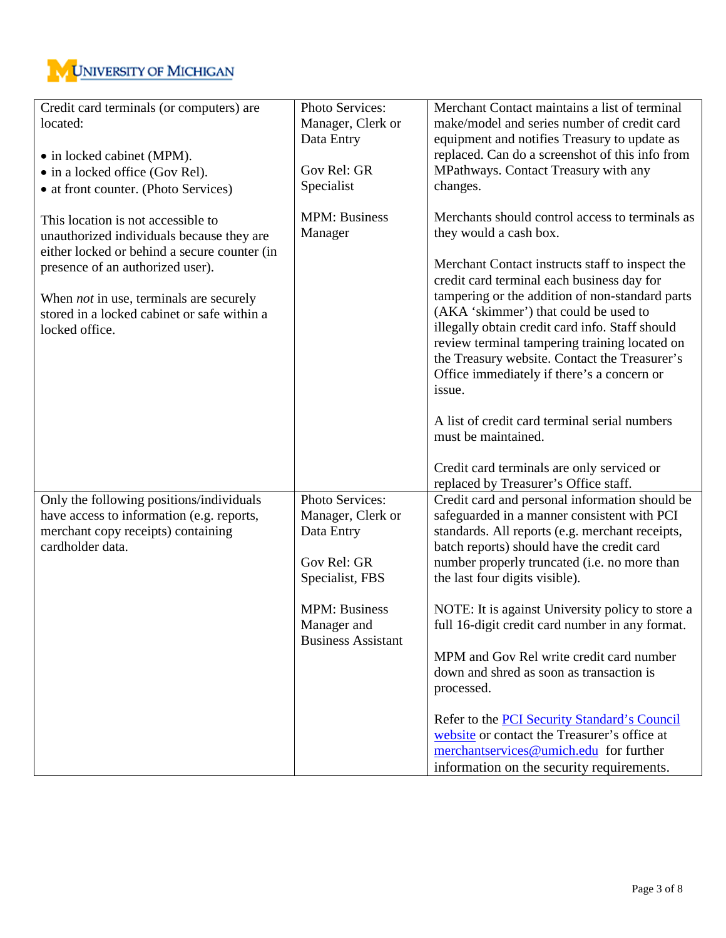

| Credit card terminals (or computers) are<br>located:                                          | Photo Services:<br>Manager, Clerk or<br>Data Entry               | Merchant Contact maintains a list of terminal<br>make/model and series number of credit card<br>equipment and notifies Treasury to update as<br>replaced. Can do a screenshot of this info from |  |  |
|-----------------------------------------------------------------------------------------------|------------------------------------------------------------------|-------------------------------------------------------------------------------------------------------------------------------------------------------------------------------------------------|--|--|
| • in locked cabinet (MPM).                                                                    |                                                                  |                                                                                                                                                                                                 |  |  |
| • in a locked office (Gov Rel).                                                               | Gov Rel: GR                                                      | MPathways. Contact Treasury with any                                                                                                                                                            |  |  |
| • at front counter. (Photo Services)                                                          | Specialist                                                       | changes.                                                                                                                                                                                        |  |  |
| This location is not accessible to<br>unauthorized individuals because they are               | <b>MPM</b> : Business<br>Manager                                 | Merchants should control access to terminals as<br>they would a cash box.                                                                                                                       |  |  |
| either locked or behind a secure counter (in<br>presence of an authorized user).              |                                                                  | Merchant Contact instructs staff to inspect the<br>credit card terminal each business day for                                                                                                   |  |  |
| When <i>not</i> in use, terminals are securely<br>stored in a locked cabinet or safe within a |                                                                  | tampering or the addition of non-standard parts<br>(AKA 'skimmer') that could be used to                                                                                                        |  |  |
| locked office.                                                                                |                                                                  | illegally obtain credit card info. Staff should<br>review terminal tampering training located on                                                                                                |  |  |
|                                                                                               |                                                                  | the Treasury website. Contact the Treasurer's<br>Office immediately if there's a concern or                                                                                                     |  |  |
|                                                                                               |                                                                  | issue.                                                                                                                                                                                          |  |  |
|                                                                                               |                                                                  | A list of credit card terminal serial numbers<br>must be maintained.                                                                                                                            |  |  |
|                                                                                               |                                                                  | Credit card terminals are only serviced or<br>replaced by Treasurer's Office staff.                                                                                                             |  |  |
| Only the following positions/individuals<br>have access to information (e.g. reports,         | Photo Services:<br>Manager, Clerk or                             | Credit card and personal information should be<br>safeguarded in a manner consistent with PCI                                                                                                   |  |  |
| merchant copy receipts) containing<br>cardholder data.                                        | Data Entry                                                       | standards. All reports (e.g. merchant receipts,<br>batch reports) should have the credit card                                                                                                   |  |  |
|                                                                                               | Gov Rel: GR<br>Specialist, FBS                                   | number properly truncated (i.e. no more than<br>the last four digits visible).                                                                                                                  |  |  |
|                                                                                               | <b>MPM: Business</b><br>Manager and<br><b>Business Assistant</b> | NOTE: It is against University policy to store a<br>full 16-digit credit card number in any format.                                                                                             |  |  |
|                                                                                               |                                                                  | MPM and Gov Rel write credit card number                                                                                                                                                        |  |  |
|                                                                                               |                                                                  | down and shred as soon as transaction is                                                                                                                                                        |  |  |
|                                                                                               |                                                                  | processed.                                                                                                                                                                                      |  |  |
|                                                                                               |                                                                  | Refer to the <b>PCI</b> Security Standard's Council                                                                                                                                             |  |  |
|                                                                                               |                                                                  | website or contact the Treasurer's office at                                                                                                                                                    |  |  |
|                                                                                               |                                                                  | merchantservices@umich.edu for further                                                                                                                                                          |  |  |
|                                                                                               |                                                                  | information on the security requirements.                                                                                                                                                       |  |  |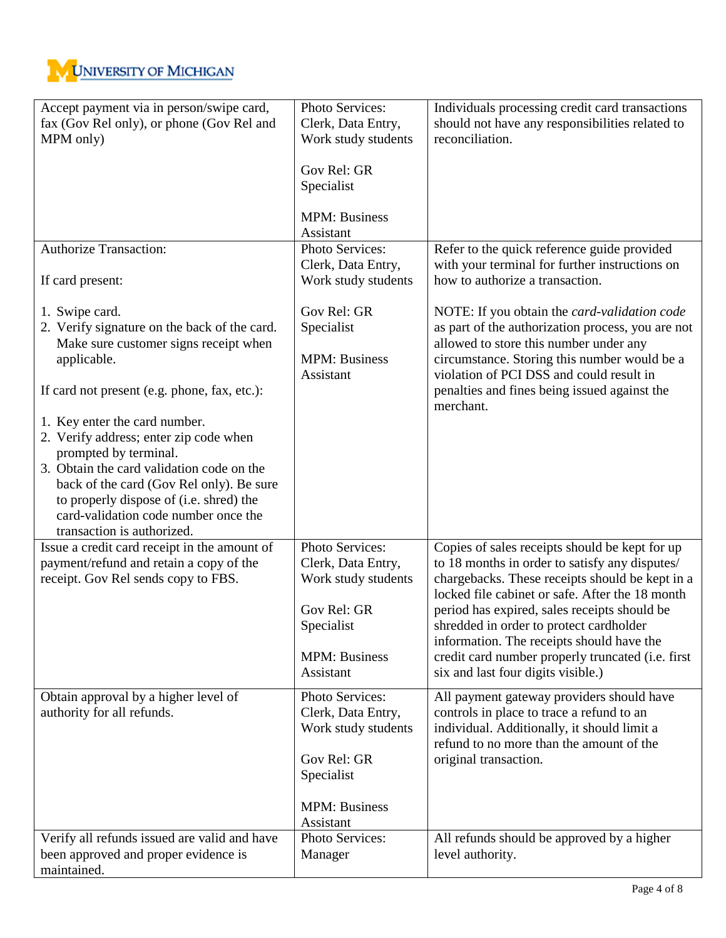

| Accept payment via in person/swipe card,<br>fax (Gov Rel only), or phone (Gov Rel and<br>MPM only)                                                                                                                                                                                                                                                                                                                                                                                                       | Photo Services:<br>Clerk, Data Entry,<br>Work study students<br>Gov Rel: GR<br>Specialist<br><b>MPM: Business</b><br>Assistant                                          | Individuals processing credit card transactions<br>should not have any responsibilities related to<br>reconciliation.                                                                                                                                                                                                                                                                                                                                                                                                               |
|----------------------------------------------------------------------------------------------------------------------------------------------------------------------------------------------------------------------------------------------------------------------------------------------------------------------------------------------------------------------------------------------------------------------------------------------------------------------------------------------------------|-------------------------------------------------------------------------------------------------------------------------------------------------------------------------|-------------------------------------------------------------------------------------------------------------------------------------------------------------------------------------------------------------------------------------------------------------------------------------------------------------------------------------------------------------------------------------------------------------------------------------------------------------------------------------------------------------------------------------|
| <b>Authorize Transaction:</b>                                                                                                                                                                                                                                                                                                                                                                                                                                                                            | Photo Services:<br>Clerk, Data Entry,                                                                                                                                   | Refer to the quick reference guide provided<br>with your terminal for further instructions on                                                                                                                                                                                                                                                                                                                                                                                                                                       |
| If card present:<br>1. Swipe card.<br>2. Verify signature on the back of the card.<br>Make sure customer signs receipt when<br>applicable.<br>If card not present (e.g. phone, fax, etc.):<br>1. Key enter the card number.<br>2. Verify address; enter zip code when<br>prompted by terminal.<br>3. Obtain the card validation code on the<br>back of the card (Gov Rel only). Be sure<br>to properly dispose of (i.e. shred) the<br>card-validation code number once the<br>transaction is authorized. | Work study students<br>Gov Rel: GR<br>Specialist<br><b>MPM: Business</b><br>Assistant                                                                                   | how to authorize a transaction.<br>NOTE: If you obtain the card-validation code<br>as part of the authorization process, you are not<br>allowed to store this number under any<br>circumstance. Storing this number would be a<br>violation of PCI DSS and could result in<br>penalties and fines being issued against the<br>merchant.                                                                                                                                                                                             |
| Issue a credit card receipt in the amount of<br>payment/refund and retain a copy of the<br>receipt. Gov Rel sends copy to FBS.<br>Obtain approval by a higher level of<br>authority for all refunds.                                                                                                                                                                                                                                                                                                     | Photo Services:<br>Clerk, Data Entry,<br>Work study students<br>Gov Rel: GR<br>Specialist<br><b>MPM: Business</b><br>Assistant<br>Photo Services:<br>Clerk, Data Entry, | Copies of sales receipts should be kept for up<br>to 18 months in order to satisfy any disputes/<br>chargebacks. These receipts should be kept in a<br>locked file cabinet or safe. After the 18 month<br>period has expired, sales receipts should be<br>shredded in order to protect cardholder<br>information. The receipts should have the<br>credit card number properly truncated (i.e. first<br>six and last four digits visible.)<br>All payment gateway providers should have<br>controls in place to trace a refund to an |
| Verify all refunds issued are valid and have<br>been approved and proper evidence is<br>maintained.                                                                                                                                                                                                                                                                                                                                                                                                      | Work study students<br>Gov Rel: GR<br>Specialist<br><b>MPM: Business</b><br>Assistant<br>Photo Services:<br>Manager                                                     | individual. Additionally, it should limit a<br>refund to no more than the amount of the<br>original transaction.<br>All refunds should be approved by a higher<br>level authority.                                                                                                                                                                                                                                                                                                                                                  |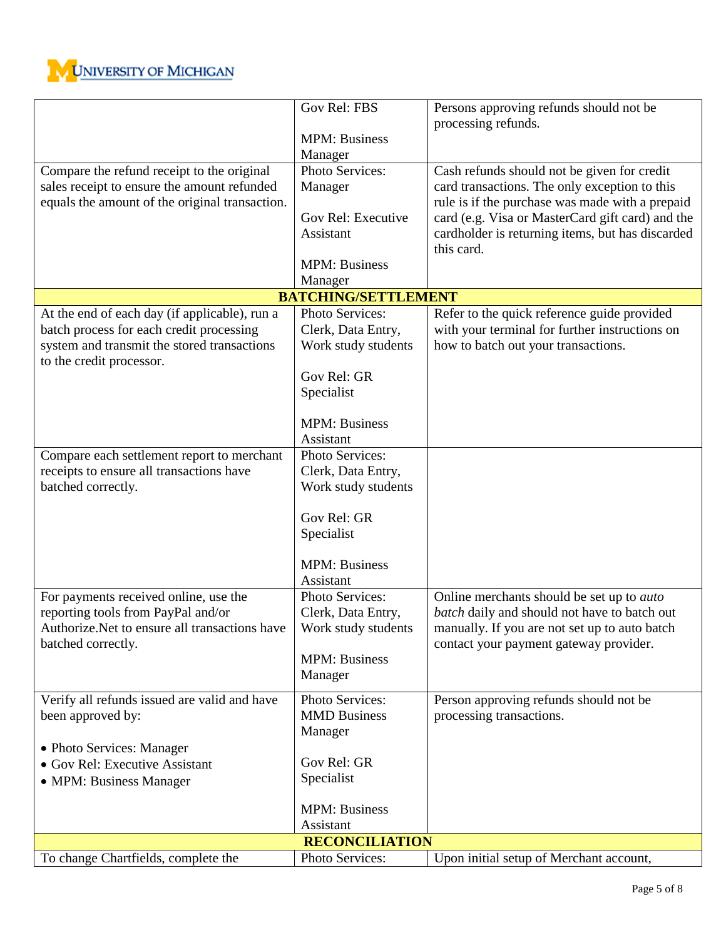

|                                                | Gov Rel: FBS               | Persons approving refunds should not be                        |
|------------------------------------------------|----------------------------|----------------------------------------------------------------|
|                                                |                            | processing refunds.                                            |
|                                                | <b>MPM: Business</b>       |                                                                |
|                                                | Manager                    |                                                                |
| Compare the refund receipt to the original     | Photo Services:            | Cash refunds should not be given for credit                    |
| sales receipt to ensure the amount refunded    | Manager                    | card transactions. The only exception to this                  |
| equals the amount of the original transaction. | Gov Rel: Executive         | rule is if the purchase was made with a prepaid                |
|                                                | Assistant                  | card (e.g. Visa or MasterCard gift card) and the               |
|                                                |                            | cardholder is returning items, but has discarded<br>this card. |
|                                                | <b>MPM: Business</b>       |                                                                |
|                                                | Manager                    |                                                                |
|                                                | <b>BATCHING/SETTLEMENT</b> |                                                                |
| At the end of each day (if applicable), run a  | Photo Services:            | Refer to the quick reference guide provided                    |
| batch process for each credit processing       | Clerk, Data Entry,         | with your terminal for further instructions on                 |
| system and transmit the stored transactions    | Work study students        | how to batch out your transactions.                            |
| to the credit processor.                       |                            |                                                                |
|                                                | Gov Rel: GR                |                                                                |
|                                                | Specialist                 |                                                                |
|                                                |                            |                                                                |
|                                                | <b>MPM</b> : Business      |                                                                |
|                                                | Assistant                  |                                                                |
| Compare each settlement report to merchant     | Photo Services:            |                                                                |
| receipts to ensure all transactions have       | Clerk, Data Entry,         |                                                                |
| batched correctly.                             | Work study students        |                                                                |
|                                                | Gov Rel: GR                |                                                                |
|                                                | Specialist                 |                                                                |
|                                                |                            |                                                                |
|                                                | <b>MPM: Business</b>       |                                                                |
|                                                | Assistant                  |                                                                |
| For payments received online, use the          | Photo Services:            | Online merchants should be set up to <i>auto</i>               |
| reporting tools from PayPal and/or             | Clerk, Data Entry,         | batch daily and should not have to batch out                   |
| Authorize.Net to ensure all transactions have  | Work study students        | manually. If you are not set up to auto batch                  |
| batched correctly.                             |                            | contact your payment gateway provider.                         |
|                                                | <b>MPM: Business</b>       |                                                                |
|                                                | Manager                    |                                                                |
| Verify all refunds issued are valid and have   | Photo Services:            | Person approving refunds should not be                         |
| been approved by:                              | <b>MMD</b> Business        | processing transactions.                                       |
|                                                | Manager                    |                                                                |
| • Photo Services: Manager                      |                            |                                                                |
| • Gov Rel: Executive Assistant                 | Gov Rel: GR                |                                                                |
| • MPM: Business Manager                        | Specialist                 |                                                                |
|                                                | <b>MPM: Business</b>       |                                                                |
|                                                | Assistant                  |                                                                |
|                                                | <b>RECONCILIATION</b>      |                                                                |
| To change Chartfields, complete the            | Photo Services:            | Upon initial setup of Merchant account,                        |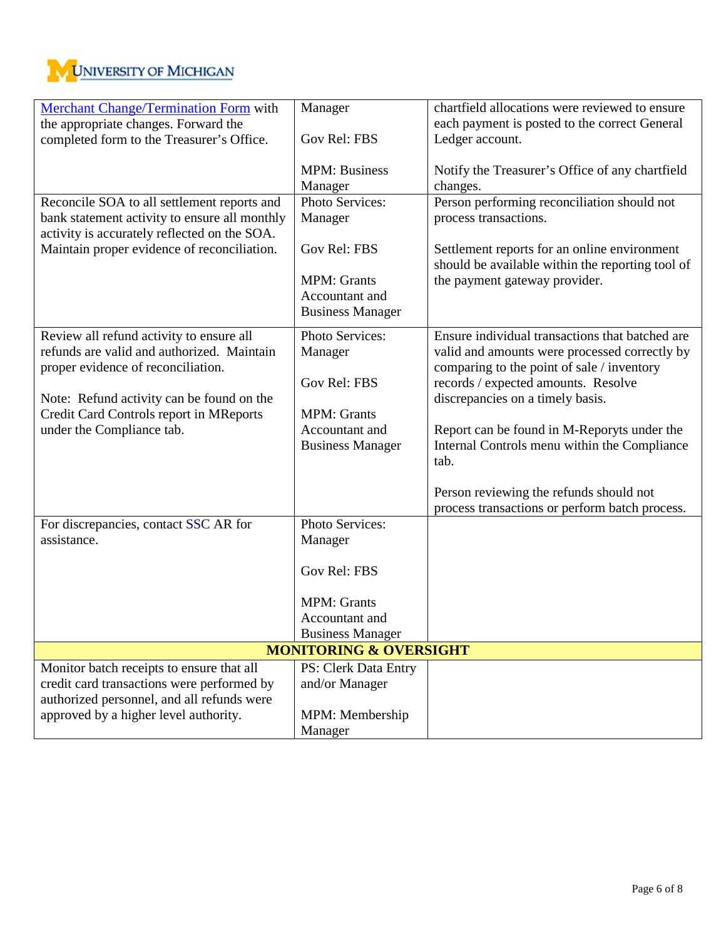

| Merchant Change/Termination Form with         | Manager                 | chartfield allocations were reviewed to ensure   |  |  |
|-----------------------------------------------|-------------------------|--------------------------------------------------|--|--|
| the appropriate changes. Forward the          |                         | each payment is posted to the correct General    |  |  |
| completed form to the Treasurer's Office.     | Gov Rel: FBS            | Ledger account.                                  |  |  |
|                                               |                         |                                                  |  |  |
|                                               | <b>MPM: Business</b>    | Notify the Treasurer's Office of any chartfield  |  |  |
|                                               | Manager                 | changes.                                         |  |  |
| Reconcile SOA to all settlement reports and   | Photo Services:         | Person performing reconciliation should not      |  |  |
| bank statement activity to ensure all monthly | Manager                 | process transactions.                            |  |  |
| activity is accurately reflected on the SOA.  |                         |                                                  |  |  |
| Maintain proper evidence of reconciliation.   | Gov Rel: FBS            | Settlement reports for an online environment     |  |  |
|                                               |                         | should be available within the reporting tool of |  |  |
|                                               | <b>MPM</b> : Grants     | the payment gateway provider.                    |  |  |
|                                               | Accountant and          |                                                  |  |  |
|                                               | <b>Business Manager</b> |                                                  |  |  |
| Review all refund activity to ensure all      | Photo Services:         | Ensure individual transactions that batched are  |  |  |
| refunds are valid and authorized. Maintain    | Manager                 | valid and amounts were processed correctly by    |  |  |
| proper evidence of reconciliation.            |                         | comparing to the point of sale / inventory       |  |  |
|                                               | Gov Rel: FBS            | records / expected amounts. Resolve              |  |  |
| Note: Refund activity can be found on the     |                         | discrepancies on a timely basis.                 |  |  |
| Credit Card Controls report in MReports       | <b>MPM: Grants</b>      |                                                  |  |  |
| under the Compliance tab.                     | Accountant and          | Report can be found in M-Reporyts under the      |  |  |
|                                               | <b>Business Manager</b> | Internal Controls menu within the Compliance     |  |  |
|                                               |                         | tab.                                             |  |  |
|                                               |                         |                                                  |  |  |
|                                               |                         | Person reviewing the refunds should not          |  |  |
| For discrepancies, contact SSC AR for         | Photo Services:         | process transactions or perform batch process.   |  |  |
| assistance.                                   | Manager                 |                                                  |  |  |
|                                               |                         |                                                  |  |  |
|                                               | Gov Rel: FBS            |                                                  |  |  |
|                                               |                         |                                                  |  |  |
|                                               | <b>MPM: Grants</b>      |                                                  |  |  |
|                                               | Accountant and          |                                                  |  |  |
|                                               | <b>Business Manager</b> |                                                  |  |  |
| <b>MONITORING &amp; OVERSIGHT</b>             |                         |                                                  |  |  |
| Monitor batch receipts to ensure that all     | PS: Clerk Data Entry    |                                                  |  |  |
| credit card transactions were performed by    | and/or Manager          |                                                  |  |  |
| authorized personnel, and all refunds were    |                         |                                                  |  |  |
| approved by a higher level authority.         | MPM: Membership         |                                                  |  |  |
|                                               | Manager                 |                                                  |  |  |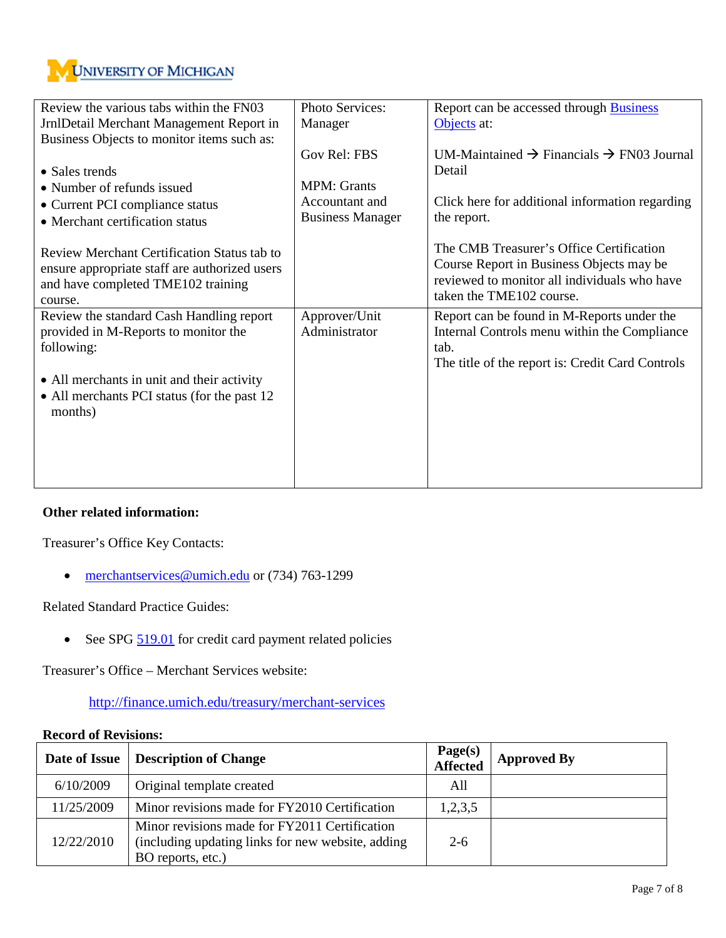

| Review the various tabs within the FN03       | Photo Services:         | Report can be accessed through Business                           |
|-----------------------------------------------|-------------------------|-------------------------------------------------------------------|
| JrnlDetail Merchant Management Report in      | Manager                 | Objects at:                                                       |
| Business Objects to monitor items such as:    |                         |                                                                   |
|                                               | Gov Rel: FBS            | UM-Maintained $\rightarrow$ Financials $\rightarrow$ FN03 Journal |
| • Sales trends                                |                         | Detail                                                            |
| • Number of refunds issued                    | <b>MPM</b> : Grants     |                                                                   |
| • Current PCI compliance status               | Accountant and          | Click here for additional information regarding                   |
| • Merchant certification status               | <b>Business Manager</b> | the report.                                                       |
|                                               |                         |                                                                   |
| Review Merchant Certification Status tab to   |                         | The CMB Treasurer's Office Certification                          |
| ensure appropriate staff are authorized users |                         | Course Report in Business Objects may be                          |
| and have completed TME102 training            |                         | reviewed to monitor all individuals who have                      |
| course.                                       |                         | taken the TME102 course.                                          |
| Review the standard Cash Handling report      | Approver/Unit           | Report can be found in M-Reports under the                        |
| provided in M-Reports to monitor the          | Administrator           | Internal Controls menu within the Compliance                      |
| following:                                    |                         | tab.                                                              |
|                                               |                         | The title of the report is: Credit Card Controls                  |
| • All merchants in unit and their activity    |                         |                                                                   |
| • All merchants PCI status (for the past 12)  |                         |                                                                   |
| months)                                       |                         |                                                                   |
|                                               |                         |                                                                   |
|                                               |                         |                                                                   |
|                                               |                         |                                                                   |
|                                               |                         |                                                                   |

## **Other related information:**

Treasurer's Office Key Contacts:

• [merchantservices@umich.edu](mailto:merchantservices@umich.edu) or (734) 763-1299

Related Standard Practice Guides:

• See SPG [519.01](http://spg.umich.edu/pdf/501.06.pdf) for credit card payment related policies

Treasurer's Office – Merchant Services website:

<http://finance.umich.edu/treasury/merchant-services>

## **Record of Revisions:**

| Date of Issue | Description of Change                                                                                                   | Page(s)<br>Affected | <b>Approved By</b> |
|---------------|-------------------------------------------------------------------------------------------------------------------------|---------------------|--------------------|
| 6/10/2009     | Original template created                                                                                               | All                 |                    |
| 11/25/2009    | Minor revisions made for FY2010 Certification                                                                           | 1,2,3,5             |                    |
| 12/22/2010    | Minor revisions made for FY2011 Certification<br>(including updating links for new website, adding<br>BO reports, etc.) | $2-6$               |                    |